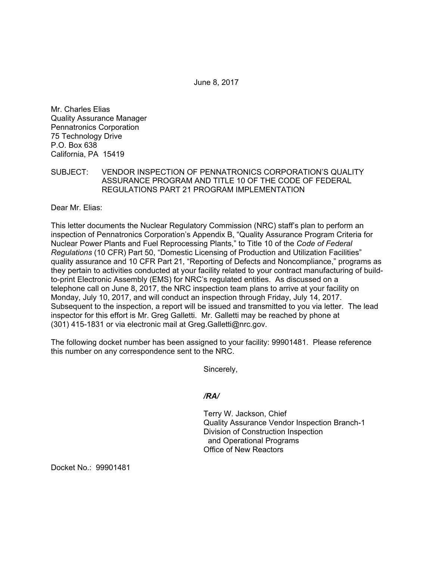June 8, 2017

Mr. Charles Elias Quality Assurance Manager Pennatronics Corporation 75 Technology Drive P.O. Box 638 California, PA 15419

SUBJECT: VENDOR INSPECTION OF PENNATRONICS CORPORATION'S QUALITY ASSURANCE PROGRAM AND TITLE 10 OF THE CODE OF FEDERAL REGULATIONS PART 21 PROGRAM IMPLEMENTATION

Dear Mr. Elias:

This letter documents the Nuclear Regulatory Commission (NRC) staff's plan to perform an inspection of Pennatronics Corporation's Appendix B, "Quality Assurance Program Criteria for Nuclear Power Plants and Fuel Reprocessing Plants," to Title 10 of the *Code of Federal Regulations* (10 CFR) Part 50, "Domestic Licensing of Production and Utilization Facilities" quality assurance and 10 CFR Part 21, "Reporting of Defects and Noncompliance," programs as they pertain to activities conducted at your facility related to your contract manufacturing of buildto-print Electronic Assembly (EMS) for NRC's regulated entities. As discussed on a telephone call on June 8, 2017, the NRC inspection team plans to arrive at your facility on Monday, July 10, 2017, and will conduct an inspection through Friday, July 14, 2017. Subsequent to the inspection, a report will be issued and transmitted to you via letter. The lead inspector for this effort is Mr. Greg Galletti. Mr. Galletti may be reached by phone at (301) 415-1831 or via electronic mail at Greg.Galletti@nrc.gov.

The following docket number has been assigned to your facility: 99901481. Please reference this number on any correspondence sent to the NRC.

Sincerely,

## */RA/*

Terry W. Jackson, Chief Quality Assurance Vendor Inspection Branch-1 Division of Construction Inspection and Operational Programs Office of New Reactors

Docket No.: 99901481